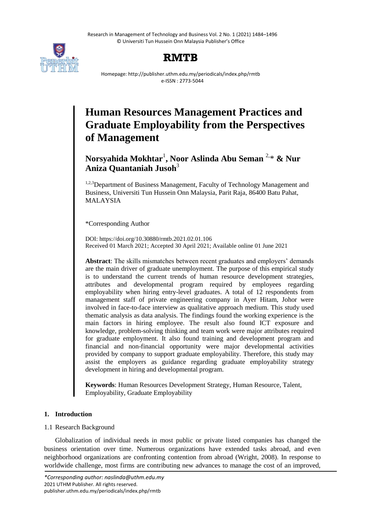Research in Management of Technology and Business Vol. 2 No. 1 (2021) 1484–1496 © Universiti Tun Hussein Onn Malaysia Publisher's Office



# **RMTB**

Homepage: http://publisher.uthm.edu.my/periodicals/index.php/rmtb e-ISSN : 2773-5044

# **Human Resources Management Practices and Graduate Employability from the Perspectives of Management**

# **Norsyahida Mokhtar**<sup>1</sup> **, Noor Aslinda Abu Seman** 2,\* **& Nur Aniza Quantaniah Jusoh**<sup>3</sup>

<sup>1,2,3</sup>Department of Business Management, Faculty of Technology Management and Business, Universiti Tun Hussein Onn Malaysia, Parit Raja, 86400 Batu Pahat, MALAYSIA

\*Corresponding Author

DOI: https://doi.org/10.30880/rmtb.2021.02.01.106 Received 01 March 2021; Accepted 30 April 2021; Available online 01 June 2021

**Abstract**: The skills mismatches between recent graduates and employers' demands are the main driver of graduate unemployment. The purpose of this empirical study is to understand the current trends of human resource development strategies, attributes and developmental program required by employees regarding employability when hiring entry-level graduates. A total of 12 respondents from management staff of private engineering company in Ayer Hitam, Johor were involved in face-to-face interview as qualitative approach medium. This study used thematic analysis as data analysis. The findings found the working experience is the main factors in hiring employee. The result also found ICT exposure and knowledge, problem-solving thinking and team work were major attributes required for graduate employment. It also found training and development program and financial and non-financial opportunity were major developmental activities provided by company to support graduate employability. Therefore, this study may assist the employers as guidance regarding graduate employability strategy development in hiring and developmental program.

**Keywords**: Human Resources Development Strategy, Human Resource, Talent, Employability, Graduate Employability

# **1. Introduction**

# 1.1 Research Background

Globalization of individual needs in most public or private listed companies has changed the business orientation over time. Numerous organizations have extended tasks abroad, and even neighborhood organizations are confronting contention from abroad (Wright, 2008). In response to worldwide challenge, most firms are contributing new advances to manage the cost of an improved,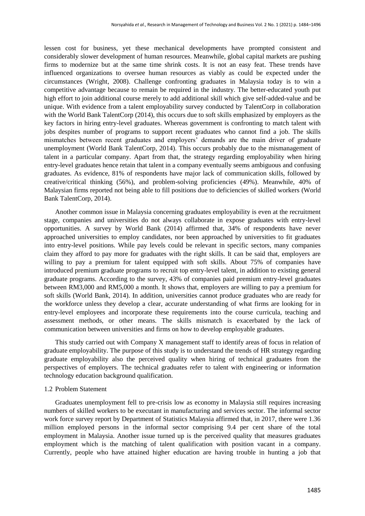lessen cost for business, yet these mechanical developments have prompted consistent and considerably slower development of human resources. Meanwhile, global capital markets are pushing firms to modernize but at the same time shrink costs. It is not an easy feat. These trends have influenced organizations to oversee human resources as viably as could be expected under the circumstances (Wright, 2008). Challenge confronting graduates in Malaysia today is to win a competitive advantage because to remain be required in the industry. The better-educated youth put high effort to join additional course merely to add additional skill which give self-added-value and be unique. With evidence from a talent employability survey conducted by TalentCorp in collaboration with the World Bank TalentCorp (2014), this occurs due to soft skills emphasized by employers as the key factors in hiring entry-level graduates. Whereas government is confronting to match talent with jobs despites number of programs to support recent graduates who cannot find a job. The skills mismatches between recent graduates and employers' demands are the main driver of graduate unemployment (World Bank TalentCorp, 2014). This occurs probably due to the mismanagement of talent in a particular company. Apart from that, the strategy regarding employability when hiring entry-level graduates hence retain that talent in a company eventually seems ambiguous and confusing graduates. As evidence, 81% of respondents have major lack of communication skills, followed by creative/critical thinking (56%), and problem-solving proficiencies (49%). Meanwhile, 40% of Malaysian firms reported not being able to fill positions due to deficiencies of skilled workers (World Bank TalentCorp, 2014).

Another common issue in Malaysia concerning graduates employability is even at the recruitment stage, companies and universities do not always collaborate in expose graduates with entry-level opportunities. A survey by World Bank (2014) affirmed that, 34% of respondents have never approached universities to employ candidates, nor been approached by universities to fit graduates into entry-level positions. While pay levels could be relevant in specific sectors, many companies claim they afford to pay more for graduates with the right skills. It can be said that, employers are willing to pay a premium for talent equipped with soft skills. About 75% of companies have introduced premium graduate programs to recruit top entry-level talent, in addition to existing general graduate programs. According to the survey, 43% of companies paid premium entry-level graduates between RM3,000 and RM5,000 a month. It shows that, employers are willing to pay a premium for soft skills (World Bank, 2014). In addition, universities cannot produce graduates who are ready for the workforce unless they develop a clear, accurate understanding of what firms are looking for in entry-level employees and incorporate these requirements into the course curricula, teaching and assessment methods, or other means. The skills mismatch is exacerbated by the lack of communication between universities and firms on how to develop employable graduates.

This study carried out with Company X management staff to identify areas of focus in relation of graduate employability. The purpose of this study is to understand the trends of HR strategy regarding graduate employability also the perceived quality when hiring of technical graduates from the perspectives of employers. The technical graduates refer to talent with engineering or information technology education background qualification.

#### 1.2 Problem Statement

Graduates unemployment fell to pre-crisis low as economy in Malaysia still requires increasing numbers of skilled workers to be executant in manufacturing and services sector. The informal sector work force survey report by Department of Statistics Malaysia affirmed that, in 2017, there were 1.36 million employed persons in the informal sector comprising 9.4 per cent share of the total employment in Malaysia. Another issue turned up is the perceived quality that measures graduates employment which is the matching of talent qualification with position vacant in a company. Currently, people who have attained higher education are having trouble in hunting a job that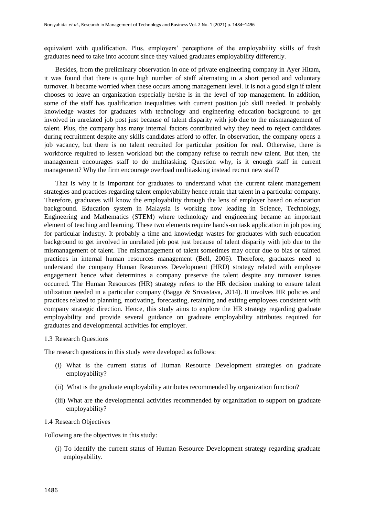equivalent with qualification. Plus, employers' perceptions of the employability skills of fresh graduates need to take into account since they valued graduates employability differently.

Besides, from the preliminary observation in one of private engineering company in Ayer Hitam, it was found that there is quite high number of staff alternating in a short period and voluntary turnover. It became worried when these occurs among management level. It is not a good sign if talent chooses to leave an organization especially he/she is in the level of top management. In addition, some of the staff has qualification inequalities with current position job skill needed. It probably knowledge wastes for graduates with technology and engineering education background to get involved in unrelated job post just because of talent disparity with job due to the mismanagement of talent. Plus, the company has many internal factors contributed why they need to reject candidates during recruitment despite any skills candidates afford to offer. In observation, the company opens a job vacancy, but there is no talent recruited for particular position for real. Otherwise, there is workforce required to lessen workload but the company refuse to recruit new talent. But then, the management encourages staff to do multitasking. Question why, is it enough staff in current management? Why the firm encourage overload multitasking instead recruit new staff?

That is why it is important for graduates to understand what the current talent management strategies and practices regarding talent employability hence retain that talent in a particular company. Therefore, graduates will know the employability through the lens of employer based on education background. Education system in Malaysia is working now leading in Science, Technology, Engineering and Mathematics (STEM) where technology and engineering became an important element of teaching and learning. These two elements require hands-on task application in job posting for particular industry. It probably a time and knowledge wastes for graduates with such education background to get involved in unrelated job post just because of talent disparity with job due to the mismanagement of talent. The mismanagement of talent sometimes may occur due to bias or tainted practices in internal human resources management (Bell, 2006). Therefore, graduates need to understand the company Human Resources Development (HRD) strategy related with employee engagement hence what determines a company preserve the talent despite any turnover issues occurred. The Human Resources (HR) strategy refers to the HR decision making to ensure talent utilization needed in a particular company (Bagga & Srivastava, 2014). It involves HR policies and practices related to planning, motivating, forecasting, retaining and exiting employees consistent with company strategic direction. Hence, this study aims to explore the HR strategy regarding graduate employability and provide several guidance on graduate employability attributes required for graduates and developmental activities for employer.

#### 1.3 Research Questions

The research questions in this study were developed as follows:

- (i) What is the current status of Human Resource Development strategies on graduate employability?
- (ii) What is the graduate employability attributes recommended by organization function?
- (iii) What are the developmental activities recommended by organization to support on graduate employability?

#### 1.4 Research Objectives

Following are the objectives in this study:

(i) To identify the current status of Human Resource Development strategy regarding graduate employability.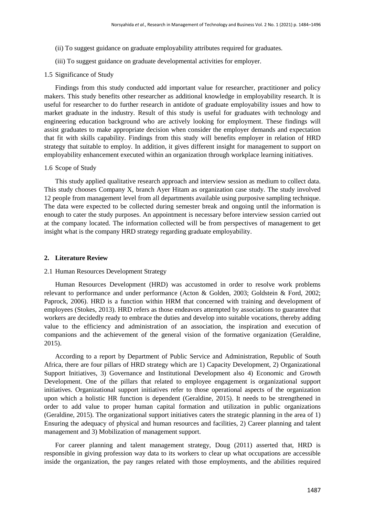- (ii) To suggest guidance on graduate employability attributes required for graduates.
- (iii) To suggest guidance on graduate developmental activities for employer.

#### 1.5 Significance of Study

Findings from this study conducted add important value for researcher, practitioner and policy makers. This study benefits other researcher as additional knowledge in employability research. It is useful for researcher to do further research in antidote of graduate employability issues and how to market graduate in the industry. Result of this study is useful for graduates with technology and engineering education background who are actively looking for employment. These findings will assist graduates to make appropriate decision when consider the employer demands and expectation that fit with skills capability. Findings from this study will benefits employer in relation of HRD strategy that suitable to employ. In addition, it gives different insight for management to support on employability enhancement executed within an organization through workplace learning initiatives.

#### 1.6 Scope of Study

This study applied qualitative research approach and interview session as medium to collect data. This study chooses Company X, branch Ayer Hitam as organization case study. The study involved 12 people from management level from all departments available using purposive sampling technique. The data were expected to be collected during semester break and ongoing until the information is enough to cater the study purposes. An appointment is necessary before interview session carried out at the company located. The information collected will be from perspectives of management to get insight what is the company HRD strategy regarding graduate employability.

## **2. Literature Review**

#### 2.1 Human Resources Development Strategy

Human Resources Development (HRD) was accustomed in order to resolve work problems relevant to performance and under performance (Acton & Golden, 2003; Goldstein & Ford, 2002; Paprock, 2006). HRD is a function within HRM that concerned with training and development of employees (Stokes, 2013). HRD refers as those endeavors attempted by associations to guarantee that workers are decidedly ready to embrace the duties and develop into suitable vocations, thereby adding value to the efficiency and administration of an association, the inspiration and execution of companions and the achievement of the general vision of the formative organization (Geraldine, 2015).

According to a report by Department of Public Service and Administration, Republic of South Africa, there are four pillars of HRD strategy which are 1) Capacity Development, 2) Organizational Support Initiatives, 3) Governance and Institutional Development also 4) Economic and Growth Development. One of the pillars that related to employee engagement is organizational support initiatives. Organizational support initiatives refer to those operational aspects of the organization upon which a holistic HR function is dependent (Geraldine, 2015). It needs to be strengthened in order to add value to proper human capital formation and utilization in public organizations (Geraldine, 2015). The organizational support initiatives caters the strategic planning in the area of 1) Ensuring the adequacy of physical and human resources and facilities, 2) Career planning and talent management and 3) Mobilization of management support.

For career planning and talent management strategy, Doug (2011) asserted that, HRD is responsible in giving profession way data to its workers to clear up what occupations are accessible inside the organization, the pay ranges related with those employments, and the abilities required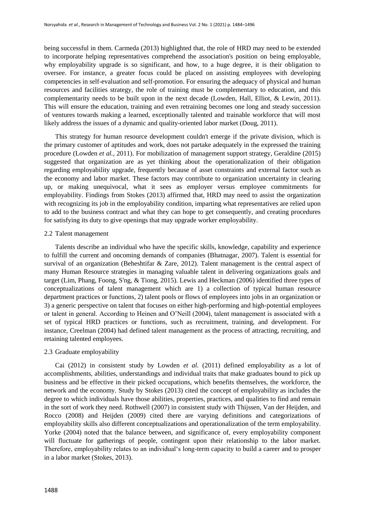being successful in them. Carmeda (2013) highlighted that, the role of HRD may need to be extended to incorporate helping representatives comprehend the association's position on being employable, why employability upgrade is so significant, and how, to a huge degree, it is their obligation to oversee. For instance, a greater focus could be placed on assisting employees with developing competencies in self-evaluation and self-promotion. For ensuring the adequacy of physical and human resources and facilities strategy, the role of training must be complementary to education, and this complementarity needs to be built upon in the next decade (Lowden, Hall, Elliot, & Lewin, 2011). This will ensure the education, training and even retraining becomes one long and steady succession of ventures towards making a learned, exceptionally talented and trainable workforce that will most likely address the issues of a dynamic and quality-oriented labor market (Doug, 2011).

This strategy for human resource development couldn't emerge if the private division, which is the primary customer of aptitudes and work, does not partake adequately in the expressed the training procedure (Lowden *et al.*, 2011). For mobilization of management support strategy, Geraldine (2015) suggested that organization are as yet thinking about the operationalization of their obligation regarding employability upgrade, frequently because of asset constraints and external factor such as the economy and labor market. These factors may contribute to organization uncertainty in clearing up, or making unequivocal, what it sees as employer versus employee commitments for employability. Findings from Stokes (2013) affirmed that, HRD may need to assist the organization with recognizing its job in the employability condition, imparting what representatives are relied upon to add to the business contract and what they can hope to get consequently, and creating procedures for satisfying its duty to give openings that may upgrade worker employability.

#### 2.2 Talent management

Talents describe an individual who have the specific skills, knowledge, capability and experience to fulfill the current and oncoming demands of companies (Bhatnagar, 2007). Talent is essential for survival of an organization (Beheshtifar & Zare, 2012). Talent management is the central aspect of many Human Resource strategies in managing valuable talent in delivering organizations goals and target (Lim, Phang, Foong, S'ng, & Tiong, 2015). Lewis and Heckman (2006) identified three types of conceptualizations of talent management which are 1) a collection of typical human resource department practices or functions, 2) talent pools or flows of employees into jobs in an organization or 3) a generic perspective on talent that focuses on either high-performing and high-potential employees or talent in general. According to Heinen and O'Neill (2004), talent management is associated with a set of typical HRD practices or functions, such as recruitment, training, and development. For instance, Creelman (2004) had defined talent management as the process of attracting, recruiting, and retaining talented employees.

#### 2.3 Graduate employability

Cai (2012) in consistent study by Lowden *et al.* (2011) defined employability as a lot of accomplishments, abilities, understandings and individual traits that make graduates bound to pick up business and be effective in their picked occupations, which benefits themselves, the workforce, the network and the economy. Study by Stokes (2013) cited the concept of employability as includes the degree to which individuals have those abilities, properties, practices, and qualities to find and remain in the sort of work they need. Rothwell (2007) in consistent study with Thijssen, Van der Heijden, and Rocco (2008) and Heijden (2009) cited there are varying definitions and categorizations of employability skills also different conceptualizations and operationalization of the term employability. Yorke (2004) noted that the balance between, and significance of, every employability component will fluctuate for gatherings of people, contingent upon their relationship to the labor market. Therefore, employability relates to an individual's long-term capacity to build a career and to prosper in a labor market (Stokes, 2013).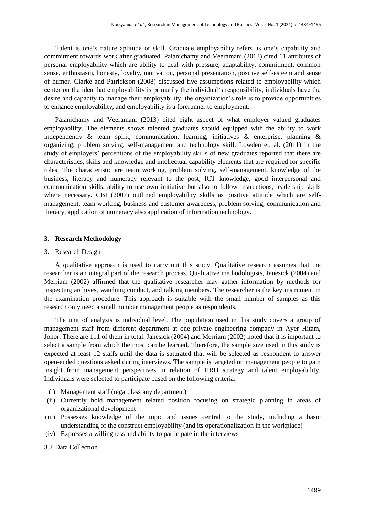Talent is one's nature aptitude or skill. Graduate employability refers as one's capability and commitment towards work after graduated. Palanichamy and Veeramani (2013) cited 11 attributes of personal employability which are ability to deal with pressure, adaptability, commitment, common sense, enthusiasm, honesty, loyalty, motivation, personal presentation, positive self-esteem and sense of humor. Clarke and Patrickson (2008) discussed five assumptions related to employability which center on the idea that employability is primarily the individual's responsibility, individuals have the desire and capacity to manage their employability, the organization's role is to provide opportunities to enhance employability, and employability is a forerunner to employment.

Palanichamy and Veeramani (2013) cited eight aspect of what employer valued graduates employability. The elements shows talented graduates should equipped with the ability to work independently & team spirit, communication, learning, initiatives & enterprise, planning & organizing, problem solving, self-management and technology skill. Lowden et. al. (2011) in the study of employers' perceptions of the employability skills of new graduates reported that there are characteristics, skills and knowledge and intellectual capability elements that are required for specific roles. The characteristic are team working, problem solving, self-management, knowledge of the business, literacy and numeracy relevant to the post, ICT knowledge, good interpersonal and communication skills, ability to use own initiative but also to follow instructions, leadership skills where necessary. CBI (2007) outlined employability skills as positive attitude which are selfmanagement, team working, business and customer awareness, problem solving, communication and literacy, application of numeracy also application of information technology.

# **3. Research Methodology**

# 3.1 Research Design

A qualitative approach is used to carry out this study. Qualitative research assumes that the researcher is an integral part of the research process. Qualitative methodologists, Janesick (2004) and Merriam (2002) affirmed that the qualitative researcher may gather information by methods for inspecting archives, watching conduct, and talking members. The researcher is the key instrument in the examination procedure. This approach is suitable with the small number of samples as this research only need a small number management people as respondents.

The unit of analysis is individual level. The population used in this study covers a group of management staff from different department at one private engineering company in Ayer Hitam, Johor. There are 111 of them in total. Janesick (2004) and Merriam (2002) noted that it is important to select a sample from which the most can be learned. Therefore, the sample size used in this study is expected at least 12 staffs until the data is saturated that will be selected as respondent to answer open-ended questions asked during interviews. The sample is targeted on management people to gain insight from management perspectives in relation of HRD strategy and talent employability. Individuals were selected to participate based on the following criteria:

- (i) Management staff (regardless any department)
- (ii) Currently hold management related position focusing on strategic planning in areas of organizational development
- (iii) Possesses knowledge of the topic and issues central to the study, including a basic understanding of the construct employability (and its operationalization in the workplace)
- (iv) Expresses a willingness and ability to participate in the interviews

# 3.2 Data Collection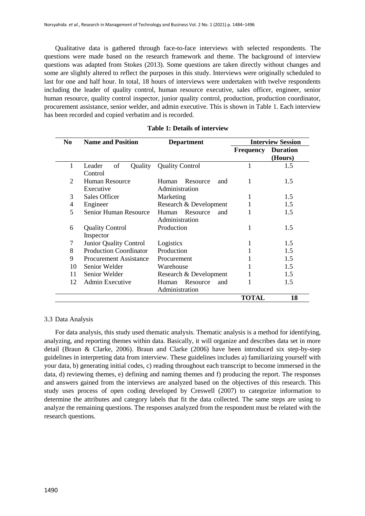Qualitative data is gathered through face-to-face interviews with selected respondents. The questions were made based on the research framework and theme. The background of interview questions was adapted from Stokes (2013). Some questions are taken directly without changes and some are slightly altered to reflect the purposes in this study. Interviews were originally scheduled to last for one and half hour. In total, 18 hours of interviews were undertaken with twelve respondents including the leader of quality control, human resource executive, sales officer, engineer, senior human resource, quality control inspector, junior quality control, production, production coordinator, procurement assistance, senior welder, and admin executive. This is shown in Table 1. Each interview has been recorded and copied verbatim and is recorded.

| N <sub>0</sub> | <b>Name and Position</b>            | <b>Department</b>                          | <b>Interview Session</b> |                            |
|----------------|-------------------------------------|--------------------------------------------|--------------------------|----------------------------|
|                |                                     |                                            | Frequency                | <b>Duration</b><br>(Hours) |
| 1              | of<br>Leader<br>Quality<br>Control  | <b>Quality Control</b>                     |                          | 1.5                        |
| 2              | <b>Human Resource</b><br>Executive  | Resource<br>Human<br>and<br>Administration | 1                        | 1.5                        |
| 3              | Sales Officer                       | Marketing                                  |                          | $1.5^{\circ}$              |
| 4              | Engineer                            | Research & Development                     |                          | 1.5                        |
| 5              | Senior Human Resource               | Resource<br>Human<br>and<br>Administration |                          | 1.5                        |
| 6              | <b>Quality Control</b><br>Inspector | Production                                 |                          | 1.5                        |
| 7              | Junior Quality Control              | Logistics                                  |                          | 1.5                        |
| 8              | <b>Production Coordinator</b>       | Production                                 |                          | 1.5                        |
| 9              | Procurement Assistance              | Procurement                                |                          | 1.5                        |
| 10             | Senior Welder                       | Warehouse                                  |                          | 1.5                        |
| 11             | Senior Welder                       | Research & Development                     |                          | 1.5                        |
| 12             | <b>Admin Executive</b>              | Resource<br>Human<br>and<br>Administration |                          | 1.5                        |
|                |                                     |                                            | <b>TOTAL</b>             | 18                         |

# **Table 1: Details of interview**

# 3.3 Data Analysis

For data analysis, this study used thematic analysis. Thematic analysis is a method for identifying, analyzing, and reporting themes within data. Basically, it will organize and describes data set in more detail (Braun & Clarke, 2006). Braun and Clarke (2006) have been introduced six step-by-step guidelines in interpreting data from interview. These guidelines includes a) familiarizing yourself with your data, b) generating initial codes, c) reading throughout each transcript to become immersed in the data, d) reviewing themes, e) defining and naming themes and f) producing the report. The responses and answers gained from the interviews are analyzed based on the objectives of this research. This study uses process of open coding developed by Creswell (2007) to categorize information to determine the attributes and category labels that fit the data collected. The same steps are using to analyze the remaining questions. The responses analyzed from the respondent must be related with the research questions.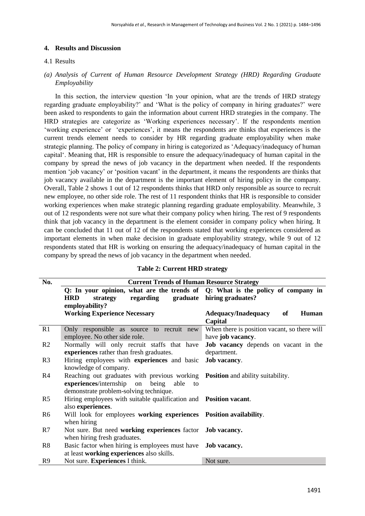#### **4. Results and Discussion**

#### 4.1 Results

# *(a) Analysis of Current of Human Resource Development Strategy (HRD) Regarding Graduate Employability*

In this section, the interview question 'In your opinion, what are the trends of HRD strategy regarding graduate employability?' and 'What is the policy of company in hiring graduates?' were been asked to respondents to gain the information about current HRD strategies in the company. The HRD strategies are categorize as 'Working experiences necessary'. If the respondents mention 'working experience' or 'experiences', it means the respondents are thinks that experiences is the current trends element needs to consider by HR regarding graduate employability when make strategic planning. The policy of company in hiring is categorized as 'Adequacy/inadequacy of human capital'. Meaning that, HR is responsible to ensure the adequacy/inadequacy of human capital in the company by spread the news of job vacancy in the department when needed. If the respondents mention 'job vacancy' or 'position vacant' in the department, it means the respondents are thinks that job vacancy available in the department is the important element of hiring policy in the company. Overall, Table 2 shows 1 out of 12 respondents thinks that HRD only responsible as source to recruit new employee, no other side role. The rest of 11 respondent thinks that HR is responsible to consider working experiences when make strategic planning regarding graduate employability. Meanwhile, 3 out of 12 respondents were not sure what their company policy when hiring. The rest of 9 respondents think that job vacancy in the department is the element consider in company policy when hiring. It can be concluded that 11 out of 12 of the respondents stated that working experiences considered as important elements in when make decision in graduate employability strategy, while 9 out of 12 respondents stated that HR is working on ensuring the adequacy/inadequacy of human capital in the company by spread the news of job vacancy in the department when needed.

|  | <b>Table 2: Current HRD strategy</b> |  |  |
|--|--------------------------------------|--|--|
|--|--------------------------------------|--|--|

| No.            | <b>Current Trends of Human Resource Strategy</b>                               |                                              |  |  |
|----------------|--------------------------------------------------------------------------------|----------------------------------------------|--|--|
|                | Q: In your opinion, what are the trends of Q: What is the policy of company in |                                              |  |  |
|                | <b>HRD</b><br>strategy<br>regarding                                            | graduate hiring graduates?                   |  |  |
|                | employability?                                                                 |                                              |  |  |
|                | <b>Working Experience Necessary</b>                                            | <b>Adequacy/Inadequacy</b><br>of<br>Human    |  |  |
|                |                                                                                | Capital                                      |  |  |
| R1             | Only responsible as source to recruit new                                      | When there is position vacant, so there will |  |  |
|                | employee. No other side role.                                                  | have job vacancy.                            |  |  |
| R <sub>2</sub> | Normally will only recruit staffs that have                                    | <b>Job</b> vacancy depends on vacant in the  |  |  |
|                | experiences rather than fresh graduates.                                       | department.                                  |  |  |
| R <sub>3</sub> | Hiring employees with <b>experiences</b> and basic                             | Job vacancy.                                 |  |  |
|                | knowledge of company.                                                          |                                              |  |  |
| R <sub>4</sub> | Reaching out graduates with previous working Position and ability suitability. |                                              |  |  |
|                | experiences/internship on<br>being<br>able<br>to                               |                                              |  |  |
|                | demonstrate problem-solving technique.                                         |                                              |  |  |
| R <sub>5</sub> | Hiring employees with suitable qualification and Position vacant.              |                                              |  |  |
|                | also experiences.                                                              |                                              |  |  |
| R <sub>6</sub> | Will look for employees working experiences Position availability.             |                                              |  |  |
|                | when hiring                                                                    |                                              |  |  |
| R7             | Not sure. But need working experiences factor Job vacancy.                     |                                              |  |  |
|                | when hiring fresh graduates.                                                   |                                              |  |  |
| R8             | Basic factor when hiring is employees must have Job vacancy.                   |                                              |  |  |
|                | at least working experiences also skills.                                      |                                              |  |  |
| R <sub>9</sub> | Not sure. Experiences I think.                                                 | Not sure.                                    |  |  |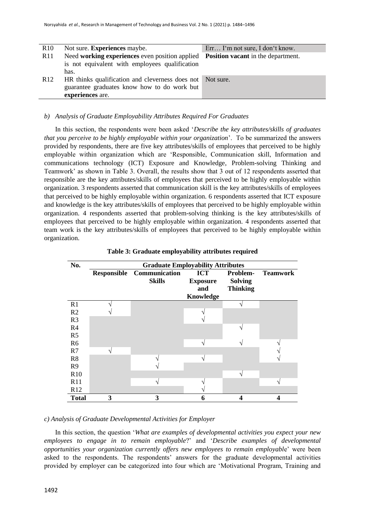| R10             | Not sure. <b>Experiences</b> maybe.                                               | Err I'm not sure, I don't know. |
|-----------------|-----------------------------------------------------------------------------------|---------------------------------|
| R11             | Need working experiences even position applied Position vacant in the department. |                                 |
|                 | is not equivalent with employees qualification                                    |                                 |
|                 | has.                                                                              |                                 |
| R <sub>12</sub> | HR thinks qualification and cleverness does not Not sure.                         |                                 |
|                 | guarantee graduates know how to do work but                                       |                                 |
|                 | experiences are.                                                                  |                                 |

# *b) Analysis of Graduate Employability Attributes Required For Graduates*

In this section, the respondents were been asked '*Describe the key attributes/skills of graduates that you perceive to be highly employable within your organization*'. To be summarized the answers provided by respondents, there are five key attributes/skills of employees that perceived to be highly employable within organization which are 'Responsible, Communication skill, Information and communications technology (ICT) Exposure and Knowledge, Problem-solving Thinking and Teamwork' as shown in Table 3. Overall, the results show that 3 out of 12 respondents asserted that responsible are the key attributes/skills of employees that perceived to be highly employable within organization. 3 respondents asserted that communication skill is the key attributes/skills of employees that perceived to be highly employable within organization. 6 respondents asserted that ICT exposure and knowledge is the key attributes/skills of employees that perceived to be highly employable within organization. 4 respondents asserted that problem-solving thinking is the key attributes/skills of employees that perceived to be highly employable within organization. 4 respondents asserted that team work is the key attributes/skills of employees that perceived to be highly employable within organization.

| No.            |                    | <b>Graduate Employability Attributes</b> |                                                   |                                               |                 |
|----------------|--------------------|------------------------------------------|---------------------------------------------------|-----------------------------------------------|-----------------|
|                | <b>Responsible</b> | Communication<br><b>Skills</b>           | <b>ICT</b><br><b>Exposure</b><br>and<br>Knowledge | Problem-<br><b>Solving</b><br><b>Thinking</b> | <b>Teamwork</b> |
| R1             |                    |                                          |                                                   |                                               |                 |
| R2             |                    |                                          |                                                   |                                               |                 |
| R <sub>3</sub> |                    |                                          |                                                   |                                               |                 |
| R4             |                    |                                          |                                                   |                                               |                 |
| R <sub>5</sub> |                    |                                          |                                                   |                                               |                 |
| R <sub>6</sub> |                    |                                          |                                                   |                                               |                 |
| R7             |                    |                                          |                                                   |                                               |                 |
| R8             |                    |                                          |                                                   |                                               |                 |
| R <sub>9</sub> |                    |                                          |                                                   |                                               |                 |
| <b>R10</b>     |                    |                                          |                                                   |                                               |                 |
| R11            |                    |                                          |                                                   |                                               |                 |
| R12            |                    |                                          |                                                   |                                               |                 |
| <b>Total</b>   | 3                  | 3                                        | 6                                                 | 4                                             | 4               |

**Table 3: Graduate employability attributes required**

## *c) Analysis of Graduate Developmental Activities for Employer*

In this section, the question '*What are examples of developmental activities you expect your new employees to engage in to remain employable*?' and '*Describe examples of developmental opportunities your organization currently offers new employees to remain employabl*e' were been asked to the respondents. The respondents' answers for the graduate developmental activities provided by employer can be categorized into four which are 'Motivational Program, Training and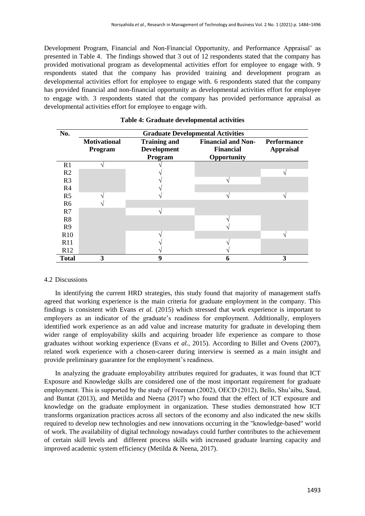Development Program, Financial and Non-Financial Opportunity, and Performance Appraisal' as presented in Table 4. The findings showed that 3 out of 12 respondents stated that the company has provided motivational program as developmental activities effort for employee to engage with. 9 respondents stated that the company has provided training and development program as developmental activities effort for employee to engage with. 6 respondents stated that the company has provided financial and non-financial opportunity as developmental activities effort for employee to engage with. 3 respondents stated that the company has provided performance appraisal as developmental activities effort for employee to engage with.

| No.            |                                | <b>Graduate Developmental Activities</b>             |                                                              |                                        |  |
|----------------|--------------------------------|------------------------------------------------------|--------------------------------------------------------------|----------------------------------------|--|
|                | <b>Motivational</b><br>Program | <b>Training and</b><br><b>Development</b><br>Program | <b>Financial and Non-</b><br><b>Financial</b><br>Opportunity | <b>Performance</b><br><b>Appraisal</b> |  |
| R <sub>1</sub> |                                |                                                      |                                                              |                                        |  |
| R <sub>2</sub> |                                |                                                      |                                                              |                                        |  |
| R <sub>3</sub> |                                |                                                      | ٦                                                            |                                        |  |
| R <sub>4</sub> |                                |                                                      |                                                              |                                        |  |
| R <sub>5</sub> |                                |                                                      |                                                              |                                        |  |
| R <sub>6</sub> |                                |                                                      |                                                              |                                        |  |
| R7             |                                |                                                      |                                                              |                                        |  |
| R <sub>8</sub> |                                |                                                      |                                                              |                                        |  |
| R <sub>9</sub> |                                |                                                      |                                                              |                                        |  |
| <b>R10</b>     |                                |                                                      |                                                              |                                        |  |
| R11            |                                |                                                      |                                                              |                                        |  |
| R12            |                                |                                                      |                                                              |                                        |  |
| <b>Total</b>   | 3                              | 9                                                    | n                                                            | 3                                      |  |

# **Table 4: Graduate developmental activities**

# 4.2 Discussions

In identifying the current HRD strategies, this study found that majority of management staffs agreed that working experience is the main criteria for graduate employment in the company. This findings is consistent with Evans *et al.* (2015) which stressed that work experience is important to employers as an indicator of the graduate's readiness for employment. Additionally, employers identified work experience as an add value and increase maturity for graduate in developing them wider range of employability skills and acquiring broader life experience as compare to those graduates without working experience (Evans *et al.*, 2015). According to Billet and Ovens (2007), related work experience with a chosen-career during interview is seemed as a main insight and provide preliminary guarantee for the employment's readiness.

In analyzing the graduate employability attributes required for graduates, it was found that ICT Exposure and Knowledge skills are considered one of the most important requirement for graduate employment. This is supported by the study of Freeman (2002), OECD (2012), Bello, Shu'aibu, Saud, and Buntat (2013), and Metilda and Neena (2017) who found that the effect of ICT exposure and knowledge on the graduate employment in organization. These studies demonstrated how ICT transforms organization practices across all sectors of the economy and also indicated the new skills required to develop new technologies and new innovations occurring in the "knowledge-based" world of work. The availability of digital technology nowadays could further contributes to the achievement of certain skill levels and different process skills with increased graduate learning capacity and improved academic system efficiency (Metilda & Neena, 2017).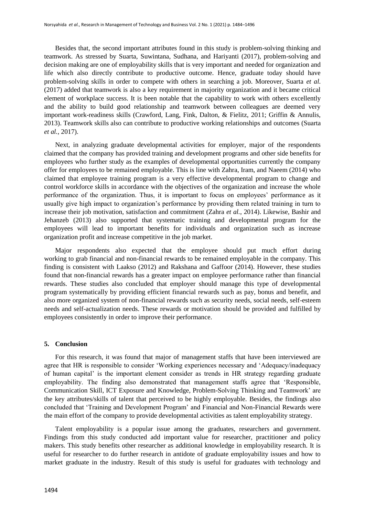Besides that, the second important attributes found in this study is problem-solving thinking and teamwork. As stressed by Suarta, Suwintana, Sudhana, and Hariyanti (2017), problem-solving and decision making are one of employability skills that is very important and needed for organization and life which also directly contribute to productive outcome. Hence, graduate today should have problem-solving skills in order to compete with others in searching a job. Moreover, Suarta *et al.* (2017) added that teamwork is also a key requirement in majority organization and it became critical element of workplace success. It is been notable that the capability to work with others excellently and the ability to build good relationship and teamwork between colleagues are deemed very important work-readiness skills (Crawford, Lang, Fink, Dalton, & Fielitz, 2011; Griffin & Annulis, 2013). Teamwork skills also can contribute to productive working relationships and outcomes (Suarta *et al.*, 2017).

Next, in analyzing graduate developmental activities for employer, major of the respondents claimed that the company has provided training and development programs and other side benefits for employees who further study as the examples of developmental opportunities currently the company offer for employees to be remained employable. This is line with Zahra, Iram, and Naeem (2014) who claimed that employee training program is a very effective developmental program to change and control workforce skills in accordance with the objectives of the organization and increase the whole performance of the organization. Thus, it is important to focus on employees' performance as it usually give high impact to organization's performance by providing them related training in turn to increase their job motivation, satisfaction and commitment (Zahra *et al.*, 2014). Likewise, Bashir and Jehanzeb (2013) also supported that systematic training and developmental program for the employees will lead to important benefits for individuals and organization such as increase organization profit and increase competitive in the job market.

Major respondents also expected that the employee should put much effort during working to grab financial and non-financial rewards to be remained employable in the company. This finding is consistent with Laakso (2012) and Rakshana and Gaffoor (2014). However, these studies found that non-financial rewards has a greater impact on employee performance rather than financial rewards. These studies also concluded that employer should manage this type of developmental program systematically by providing efficient financial rewards such as pay, bonus and benefit, and also more organized system of non-financial rewards such as security needs, social needs, self-esteem needs and self-actualization needs. These rewards or motivation should be provided and fulfilled by employees consistently in order to improve their performance.

## **5. Conclusion**

For this research, it was found that major of management staffs that have been interviewed are agree that HR is responsible to consider 'Working experiences necessary and 'Adequacy/inadequacy of human capital' is the important element consider as trends in HR strategy regarding graduate employability. The finding also demonstrated that management staffs agree that 'Responsible, Communication Skill, ICT Exposure and Knowledge, Problem-Solving Thinking and Teamwork' are the key attributes/skills of talent that perceived to be highly employable. Besides, the findings also concluded that 'Training and Development Program' and Financial and Non-Financial Rewards were the main effort of the company to provide developmental activities as talent employability strategy.

Talent employability is a popular issue among the graduates, researchers and government. Findings from this study conducted add important value for researcher, practitioner and policy makers. This study benefits other researcher as additional knowledge in employability research. It is useful for researcher to do further research in antidote of graduate employability issues and how to market graduate in the industry. Result of this study is useful for graduates with technology and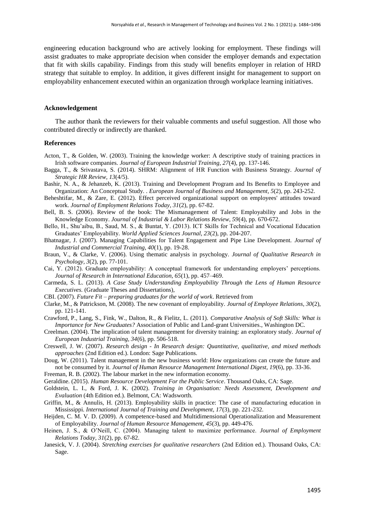engineering education background who are actively looking for employment. These findings will assist graduates to make appropriate decision when consider the employer demands and expectation that fit with skills capability. Findings from this study will benefits employer in relation of HRD strategy that suitable to employ. In addition, it gives different insight for management to support on employability enhancement executed within an organization through workplace learning initiatives.

#### **Acknowledgement**

The author thank the reviewers for their valuable comments and useful suggestion. All those who contributed directly or indirectly are thanked.

#### **References**

- Acton, T., & Golden, W. (2003). Training the knowledge worker: A descriptive study of training practices in Irish software companies. *Journal of European Industrial Training, 27*(4), pp. 137-146.
- Bagga, T., & Srivastava, S. (2014). SHRM: Alignment of HR Function with Business Strategy. *Journal of Strategic HR Review, 13*(4/5).
- Bashir, N. A., & Jehanzeb, K. (2013). Training and Development Program and Its Benefits to Employee and Organization: An Conceptual Study. . *European Journal of Business and Management, 5*(2), pp. 243-252.
- Beheshtifar, M., & Zare, E. (2012). Effect perceived organizational support on employees' attitudes toward work. *Journal of Employment Relations Today, 31*(2), pp. 67-82.
- Bell, B. S. (2006). Review of the book: The Mismanagement of Talent: Employability and Jobs in the Knowledge Economy. *Journal of Industrial & Labor Relations Review, 59*(4), pp. 670-672.
- Bello, H., Shu'aibu, B., Saud, M. S., & Buntat, Y. (2013). ICT Skills for Technical and Vocational Education Graduates' Employability. *World Applied Sciences Journal, 23*(2), pp. 204-207.
- Bhatnagar, J. (2007). Managing Capabilities for Talent Engagement and Pipe Line Development. *Journal of Industrial and Commercial Training, 40*(1), pp. 19-28.
- Braun, V., & Clarke, V. (2006). Using thematic analysis in psychology. *Journal of Qualitative Research in Psychology, 3*(2), pp. 77-101.
- Cai, Y. (2012). Graduate employability: A conceptual framework for understanding employers' perceptions. *Journal of Research in International Education, 65*(1), pp. 457–469.
- Carmeda, S. L. (2013). *A Case Study Understanding Employability Through the Lens of Human Resource Executives.* (Graduate Theses and Dissertations),
- CBI. (2007). *Future Fit – preparing graduates for the world of work*. Retrieved from
- Clarke, M., & Patrickson, M. (2008). The new covenant of employability. *Journal of Employee Relations, 30*(2), pp. 121-141.
- Crawford, P., Lang, S., Fink, W., Dalton, R., & Fielitz, L. (2011). *Comparative Analysis of Soft Skills: What is Importance for New Graduates?* Association of Public and Land-grant Universities., Washington DC.
- Creelman. (2004). The implication of talent management for diversity training: an exploratory study. *Journal of European Industrial Training, 34*(6), pp. 506-518.
- Creswell, J. W. (2007). *Research design - In Research design: Quantitative, qualitative, and mixed methods approaches* (2nd Edition ed.). London: Sage Publications.
- Doug, W. (2011). Talent management in the new business world: How organizations can create the future and not be consumed by it. *Journal of Human Resource Management International Digest, 19*(6), pp. 33-36.
- Freeman, R. B. (2002). The labour market in the new information economy.
- Geraldine. (2015). *Human Resource Development For the Public Service*. Thousand Oaks, CA: Sage.
- Goldstein, L. I., & Ford, J. K. (2002). *Training in Organisation: Needs Assessment, Development and Evaluation* (4th Edition ed.). Belmont, CA: Wadsworth.
- Griffin, M., & Annulis, H. (2013). Employability skills in practice: The case of manufacturing education in Mississippi. *International Journal of Training and Development, 17*(3), pp. 221-232.
- Heijden, C. M. V. D. (2009). A competence-based and Multidimensional Operationalization and Measurement of Employability. *Journal of Human Resource Management, 45*(3), pp. 449-476.
- Heinen, J. S., & O'Neill, C. (2004). Managing talent to maximize performance. *Journal of Employment Relations Today, 31*(2), pp. 67-82.
- Janesick, V. J. (2004). *Stretching exercises for qualitative researchers* (2nd Edition ed.). Thousand Oaks, CA: Sage.